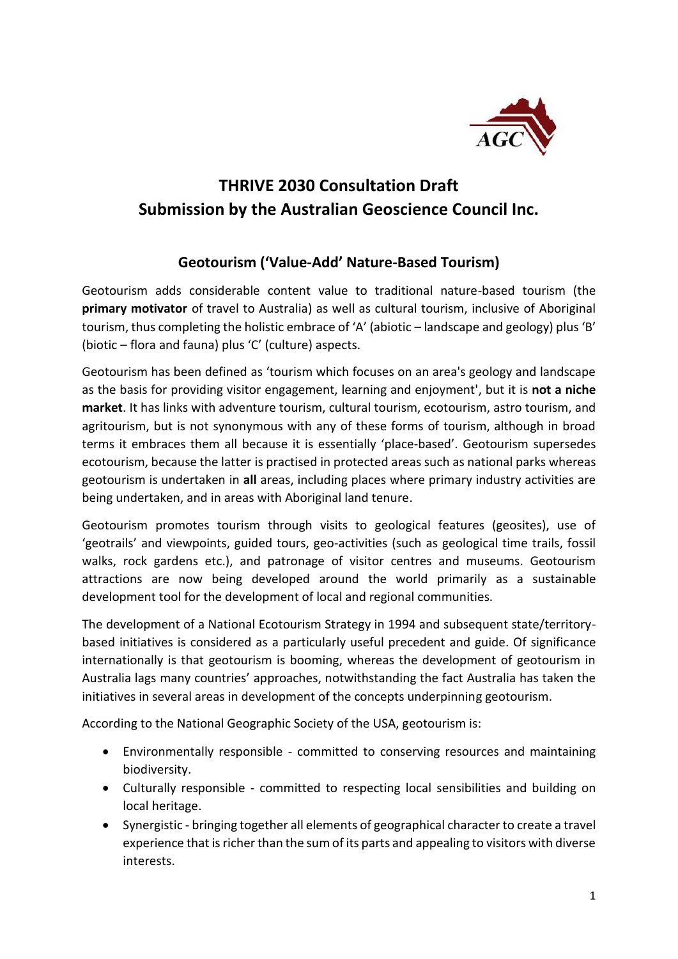

# **THRIVE 2030 Consultation Draft Submission by the Australian Geoscience Council Inc.**

## **Geotourism ('Value-Add' Nature-Based Tourism)**

Geotourism adds considerable content value to traditional nature-based tourism (the **primary motivator** of travel to Australia) as well as cultural tourism, inclusive of Aboriginal tourism, thus completing the holistic embrace of 'A' (abiotic – landscape and geology) plus 'B' (biotic – flora and fauna) plus 'C' (culture) aspects.

Geotourism has been defined as 'tourism which focuses on an area's geology and landscape as the basis for providing visitor engagement, learning and enjoyment', but it is **not a niche market**. It has links with adventure tourism, cultural tourism, ecotourism, astro tourism, and agritourism, but is not synonymous with any of these forms of tourism, although in broad terms it embraces them all because it is essentially 'place-based'. Geotourism supersedes ecotourism, because the latter is practised in protected areas such as national parks whereas geotourism is undertaken in **all** areas, including places where primary industry activities are being undertaken, and in areas with Aboriginal land tenure.

Geotourism promotes tourism through visits to geological features (geosites), use of 'geotrails' and viewpoints, guided tours, geo-activities (such as geological time trails, fossil walks, rock gardens etc.), and patronage of visitor centres and museums. Geotourism attractions are now being developed around the world primarily as a sustainable development tool for the development of local and regional communities.

The development of a National Ecotourism Strategy in 1994 and subsequent state/territorybased initiatives is considered as a particularly useful precedent and guide. Of significance internationally is that geotourism is booming, whereas the development of geotourism in Australia lags many countries' approaches, notwithstanding the fact Australia has taken the initiatives in several areas in development of the concepts underpinning geotourism.

According to the National Geographic Society of the USA, geotourism is:

- Environmentally responsible committed to conserving resources and maintaining biodiversity.
- Culturally responsible committed to respecting local sensibilities and building on local heritage.
- Synergistic bringing together all elements of geographical character to create a travel experience that is richer than the sum of its parts and appealing to visitors with diverse interests.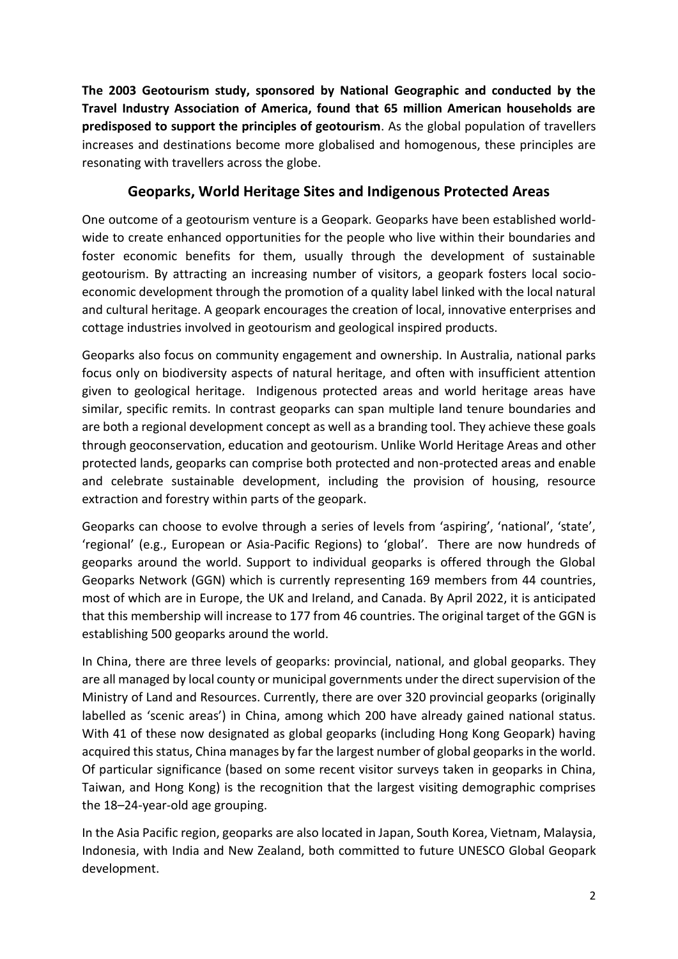**The 2003 Geotourism study, sponsored by National Geographic and conducted by the Travel Industry Association of America, found that 65 million American households are predisposed to support the principles of geotourism**. As the global population of travellers increases and destinations become more globalised and homogenous, these principles are resonating with travellers across the globe.

## **Geoparks, World Heritage Sites and Indigenous Protected Areas**

One outcome of a geotourism venture is a Geopark. Geoparks have been established worldwide to create enhanced opportunities for the people who live within their boundaries and foster economic benefits for them, usually through the development of sustainable geotourism. By attracting an increasing number of visitors, a geopark fosters local socioeconomic development through the promotion of a quality label linked with the local natural and cultural heritage. A geopark encourages the creation of local, innovative enterprises and cottage industries involved in geotourism and geological inspired products.

Geoparks also focus on community engagement and ownership. In Australia, national parks focus only on biodiversity aspects of natural heritage, and often with insufficient attention given to geological heritage. Indigenous protected areas and world heritage areas have similar, specific remits. In contrast geoparks can span multiple land tenure boundaries and are both a regional development concept as well as a branding tool. They achieve these goals through geoconservation, education and geotourism. Unlike World Heritage Areas and other protected lands, geoparks can comprise both protected and non-protected areas and enable and celebrate sustainable development, including the provision of housing, resource extraction and forestry within parts of the geopark.

Geoparks can choose to evolve through a series of levels from 'aspiring', 'national', 'state', 'regional' (e.g., European or Asia-Pacific Regions) to 'global'. There are now hundreds of geoparks around the world. Support to individual geoparks is offered through the Global Geoparks Network (GGN) which is currently representing 169 members from 44 countries, most of which are in Europe, the UK and Ireland, and Canada. By April 2022, it is anticipated that this membership will increase to 177 from 46 countries. The original target of the GGN is establishing 500 geoparks around the world.

In China, there are three levels of geoparks: provincial, national, and global geoparks. They are all managed by local county or municipal governments under the direct supervision of the Ministry of Land and Resources. Currently, there are over 320 provincial geoparks (originally labelled as 'scenic areas') in China, among which 200 have already gained national status. With 41 of these now designated as global geoparks (including Hong Kong Geopark) having acquired this status, China manages by far the largest number of global geoparks in the world. Of particular significance (based on some recent visitor surveys taken in geoparks in China, Taiwan, and Hong Kong) is the recognition that the largest visiting demographic comprises the 18–24-year-old age grouping.

In the Asia Pacific region, geoparks are also located in Japan, South Korea, Vietnam, Malaysia, Indonesia, with India and New Zealand, both committed to future UNESCO Global Geopark development.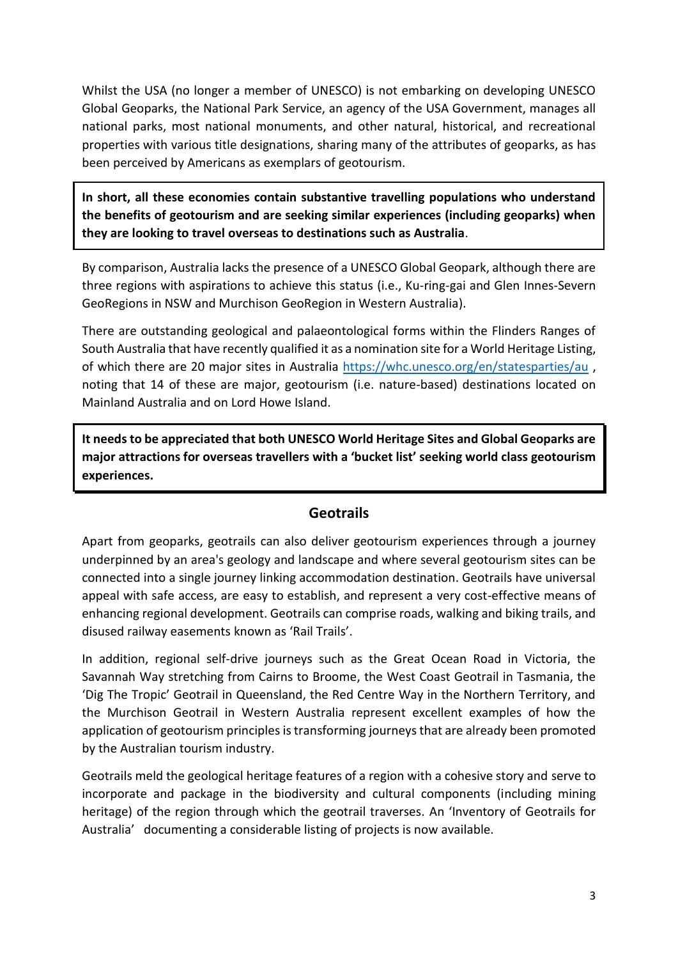Whilst the USA (no longer a member of UNESCO) is not embarking on developing UNESCO Global Geoparks, the National Park Service, an agency of the USA Government, manages all national parks, most national monuments, and other natural, historical, and recreational properties with various title designations, sharing many of the attributes of geoparks, as has been perceived by Americans as exemplars of geotourism.

**In short, all these economies contain substantive travelling populations who understand the benefits of geotourism and are seeking similar experiences (including geoparks) when they are looking to travel overseas to destinations such as Australia**.

By comparison, Australia lacks the presence of a UNESCO Global Geopark, although there are three regions with aspirations to achieve this status (i.e., Ku-ring-gai and Glen Innes-Severn GeoRegions in NSW and Murchison GeoRegion in Western Australia).

There are outstanding geological and palaeontological forms within the Flinders Ranges of South Australia that have recently qualified it as a nomination site for a World Heritage Listing, of which there are 20 major sites in Australia<https://whc.unesco.org/en/statesparties/au> , noting that 14 of these are major, geotourism (i.e. nature-based) destinations located on Mainland Australia and on Lord Howe Island.

**It needs to be appreciated that both UNESCO World Heritage Sites and Global Geoparks are major attractions for overseas travellers with a 'bucket list' seeking world class geotourism experiences.**

### **Geotrails**

Apart from geoparks, geotrails can also deliver geotourism experiences through a journey underpinned by an area's geology and landscape and where several geotourism sites can be connected into a single journey linking accommodation destination. Geotrails have universal appeal with safe access, are easy to establish, and represent a very cost-effective means of enhancing regional development. Geotrails can comprise roads, walking and biking trails, and disused railway easements known as 'Rail Trails'.

In addition, regional self-drive journeys such as the Great Ocean Road in Victoria, the Savannah Way stretching from Cairns to Broome, the West Coast Geotrail in Tasmania, the 'Dig The Tropic' Geotrail in Queensland, the Red Centre Way in the Northern Territory, and the Murchison Geotrail in Western Australia represent excellent examples of how the application of geotourism principles is transforming journeys that are already been promoted by the Australian tourism industry.

Geotrails meld the geological heritage features of a region with a cohesive story and serve to incorporate and package in the biodiversity and cultural components (including mining heritage) of the region through which the geotrail traverses. An 'Inventory of Geotrails for Australia' documenting a considerable listing of projects is now available.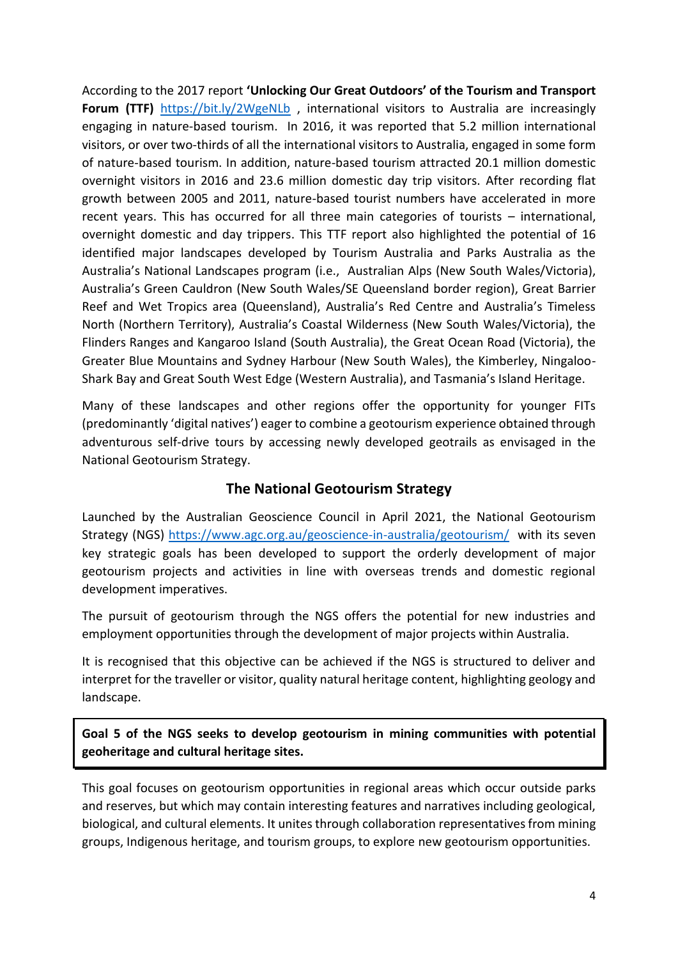According to the 2017 report **'Unlocking Our Great Outdoors' of the Tourism and Transport**  Forum (TTF) <https://bit.ly/2WgeNLb>, international visitors to Australia are increasingly engaging in nature-based tourism. In 2016, it was reported that 5.2 million international visitors, or over two-thirds of all the international visitors to Australia, engaged in some form of nature-based tourism. In addition, nature-based tourism attracted 20.1 million domestic overnight visitors in 2016 and 23.6 million domestic day trip visitors. After recording flat growth between 2005 and 2011, nature-based tourist numbers have accelerated in more recent years. This has occurred for all three main categories of tourists – international, overnight domestic and day trippers. This TTF report also highlighted the potential of 16 identified major landscapes developed by Tourism Australia and Parks Australia as the Australia's National Landscapes program (i.e., Australian Alps (New South Wales/Victoria), Australia's Green Cauldron (New South Wales/SE Queensland border region), Great Barrier Reef and Wet Tropics area (Queensland), Australia's Red Centre and Australia's Timeless North (Northern Territory), Australia's Coastal Wilderness (New South Wales/Victoria), the Flinders Ranges and Kangaroo Island (South Australia), the Great Ocean Road (Victoria), the Greater Blue Mountains and Sydney Harbour (New South Wales), the Kimberley, Ningaloo-Shark Bay and Great South West Edge (Western Australia), and Tasmania's Island Heritage.

Many of these landscapes and other regions offer the opportunity for younger FITs (predominantly 'digital natives') eager to combine a geotourism experience obtained through adventurous self-drive tours by accessing newly developed geotrails as envisaged in the National Geotourism Strategy.

### **The National Geotourism Strategy**

Launched by the Australian Geoscience Council in April 2021, the National Geotourism Strategy (NGS)<https://www.agc.org.au/geoscience-in-australia/geotourism/>with its seven key strategic goals has been developed to support the orderly development of major geotourism projects and activities in line with overseas trends and domestic regional development imperatives.

The pursuit of geotourism through the NGS offers the potential for new industries and employment opportunities through the development of major projects within Australia.

It is recognised that this objective can be achieved if the NGS is structured to deliver and interpret for the traveller or visitor, quality natural heritage content, highlighting geology and landscape.

**Goal 5 of the NGS seeks to develop geotourism in mining communities with potential geoheritage and cultural heritage sites.**

This goal focuses on geotourism opportunities in regional areas which occur outside parks and reserves, but which may contain interesting features and narratives including geological, biological, and cultural elements. It unites through collaboration representatives from mining groups, Indigenous heritage, and tourism groups, to explore new geotourism opportunities.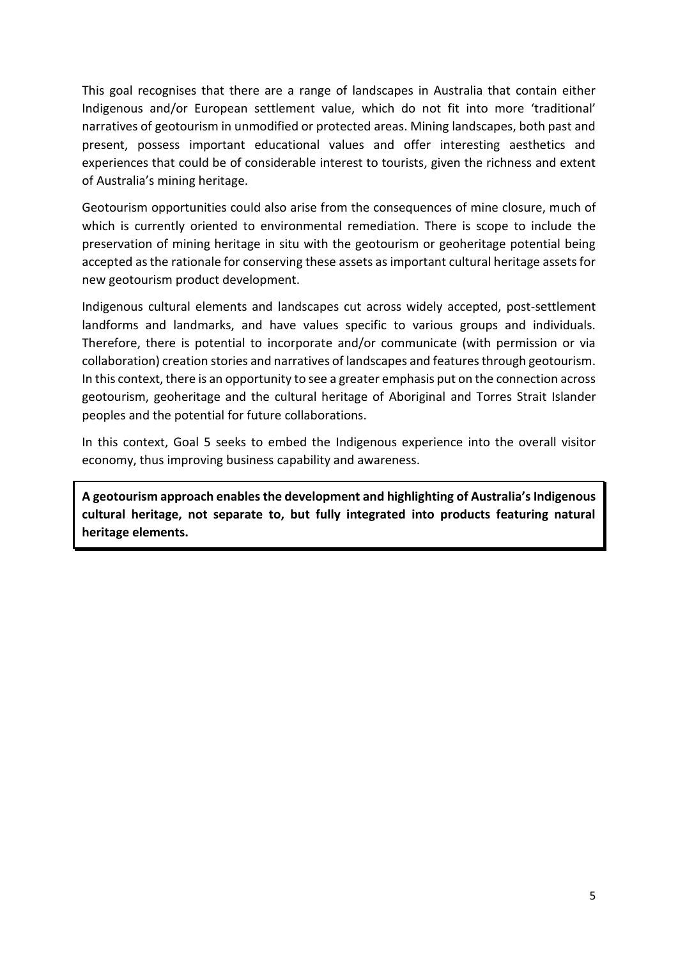This goal recognises that there are a range of landscapes in Australia that contain either Indigenous and/or European settlement value, which do not fit into more 'traditional' narratives of geotourism in unmodified or protected areas. Mining landscapes, both past and present, possess important educational values and offer interesting aesthetics and experiences that could be of considerable interest to tourists, given the richness and extent of Australia's mining heritage.

Geotourism opportunities could also arise from the consequences of mine closure, much of which is currently oriented to environmental remediation. There is scope to include the preservation of mining heritage in situ with the geotourism or geoheritage potential being accepted as the rationale for conserving these assets as important cultural heritage assets for new geotourism product development.

Indigenous cultural elements and landscapes cut across widely accepted, post-settlement landforms and landmarks, and have values specific to various groups and individuals. Therefore, there is potential to incorporate and/or communicate (with permission or via collaboration) creation stories and narratives of landscapes and features through geotourism. In this context, there is an opportunity to see a greater emphasis put on the connection across geotourism, geoheritage and the cultural heritage of Aboriginal and Torres Strait Islander peoples and the potential for future collaborations.

In this context, Goal 5 seeks to embed the Indigenous experience into the overall visitor economy, thus improving business capability and awareness.

**A geotourism approach enables the development and highlighting of Australia's Indigenous cultural heritage, not separate to, but fully integrated into products featuring natural heritage elements.**